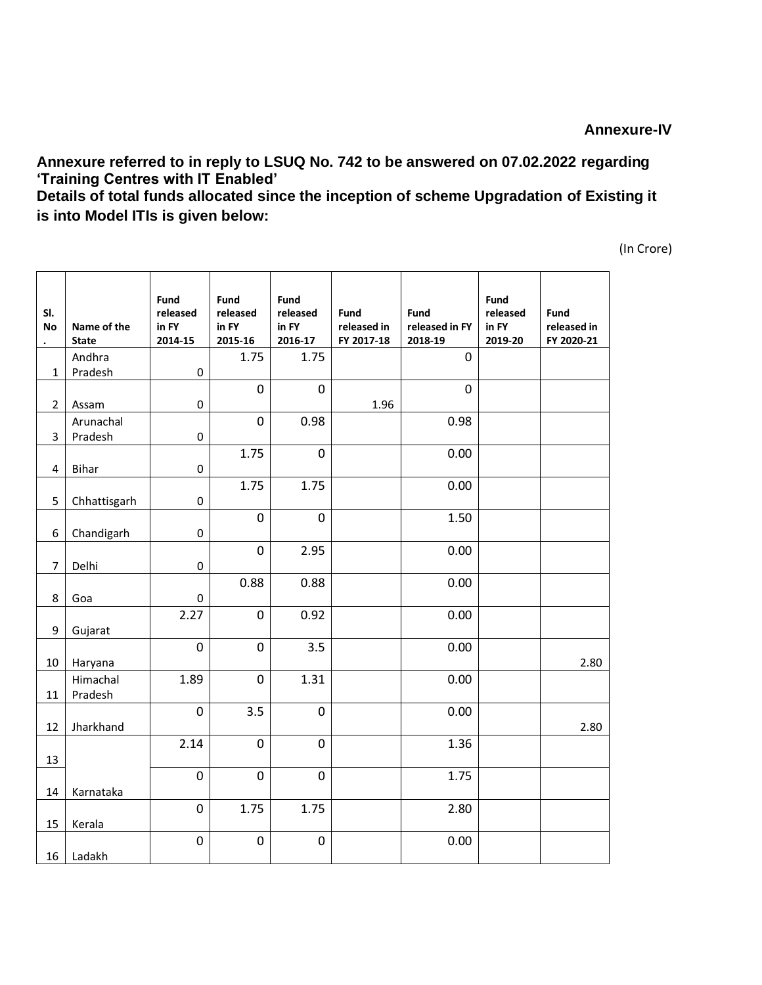**Annexure referred to in reply to LSUQ No. 742 to be answered on 07.02.2022 regarding 'Training Centres with IT Enabled'**

**Details of total funds allocated since the inception of scheme Upgradation of Existing it is into Model ITIs is given below:**

(In Crore)

| SI.<br><b>No</b> | Name of the<br><b>State</b> | Fund<br>released<br>in FY<br>2014-15 | Fund<br>released<br>in FY<br>2015-16 | Fund<br>released<br>in FY<br>2016-17 | Fund<br>released in<br>FY 2017-18 | Fund<br>released in FY<br>2018-19 | Fund<br>released<br>in FY<br>2019-20 | Fund<br>released in<br>FY 2020-21 |
|------------------|-----------------------------|--------------------------------------|--------------------------------------|--------------------------------------|-----------------------------------|-----------------------------------|--------------------------------------|-----------------------------------|
| $\mathbf{1}$     | Andhra<br>Pradesh           | $\pmb{0}$                            | 1.75                                 | 1.75                                 |                                   | 0                                 |                                      |                                   |
|                  |                             |                                      | $\mathbf 0$                          | 0                                    |                                   | 0                                 |                                      |                                   |
| $\overline{2}$   | Assam                       | $\pmb{0}$                            |                                      |                                      | 1.96                              |                                   |                                      |                                   |
| 3                | Arunachal<br>Pradesh        | $\pmb{0}$                            | $\mathbf 0$                          | 0.98                                 |                                   | 0.98                              |                                      |                                   |
| 4                | <b>Bihar</b>                | $\pmb{0}$                            | 1.75                                 | $\mathbf 0$                          |                                   | 0.00                              |                                      |                                   |
|                  |                             |                                      | 1.75                                 | 1.75                                 |                                   | 0.00                              |                                      |                                   |
| 5                | Chhattisgarh                | $\pmb{0}$                            |                                      |                                      |                                   |                                   |                                      |                                   |
| 6                | Chandigarh                  | $\pmb{0}$                            | $\mathbf 0$                          | $\mathbf 0$                          |                                   | 1.50                              |                                      |                                   |
| $\overline{7}$   | Delhi                       | $\pmb{0}$                            | $\pmb{0}$                            | 2.95                                 |                                   | 0.00                              |                                      |                                   |
|                  |                             |                                      | 0.88                                 | 0.88                                 |                                   | 0.00                              |                                      |                                   |
| 8                | Goa                         | 0                                    |                                      |                                      |                                   |                                   |                                      |                                   |
| 9                | Gujarat                     | 2.27                                 | $\pmb{0}$                            | 0.92                                 |                                   | 0.00                              |                                      |                                   |
| 10               | Haryana                     | $\mathbf 0$                          | $\mathbf 0$                          | 3.5                                  |                                   | 0.00                              |                                      | 2.80                              |
| 11               | Himachal<br>Pradesh         | 1.89                                 | $\pmb{0}$                            | 1.31                                 |                                   | 0.00                              |                                      |                                   |
| 12               | Jharkhand                   | $\mathbf 0$                          | 3.5                                  | $\mathbf 0$                          |                                   | 0.00                              |                                      | 2.80                              |
| 13               |                             | 2.14                                 | $\mathbf 0$                          | 0                                    |                                   | 1.36                              |                                      |                                   |
| 14               | Karnataka                   | 0                                    | $\mathbf 0$                          | 0                                    |                                   | 1.75                              |                                      |                                   |
| 15               | Kerala                      | 0                                    | 1.75                                 | 1.75                                 |                                   | 2.80                              |                                      |                                   |
| 16               | Ladakh                      | $\pmb{0}$                            | $\pmb{0}$                            | $\mathsf 0$                          |                                   | 0.00                              |                                      |                                   |